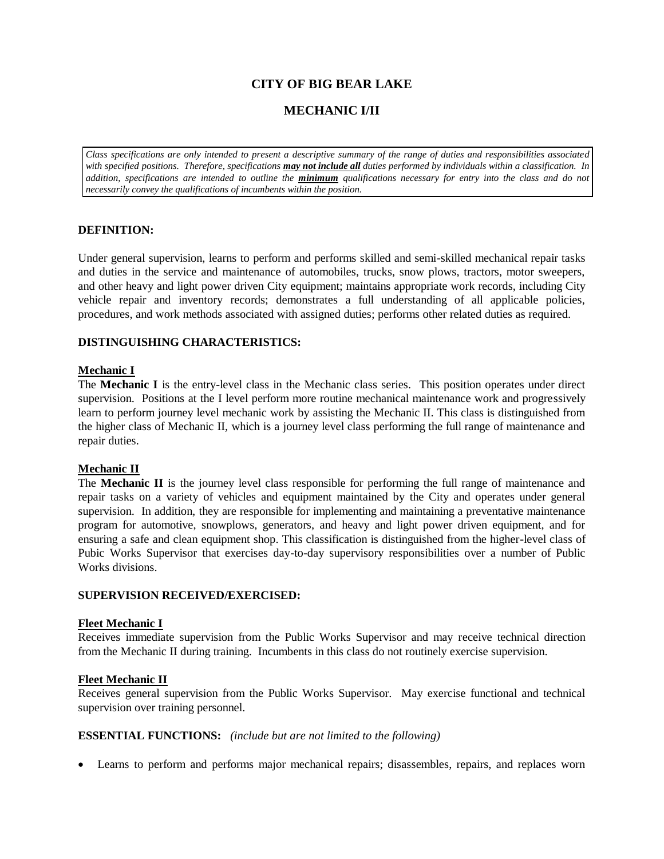# **CITY OF BIG BEAR LAKE**

# **MECHANIC I/II**

*Class specifications are only intended to present a descriptive summary of the range of duties and responsibilities associated with specified positions. Therefore, specifications may not include all duties performed by individuals within a classification. In addition, specifications are intended to outline the minimum qualifications necessary for entry into the class and do not necessarily convey the qualifications of incumbents within the position.*

## **DEFINITION:**

Under general supervision, learns to perform and performs skilled and semi-skilled mechanical repair tasks and duties in the service and maintenance of automobiles, trucks, snow plows, tractors, motor sweepers, and other heavy and light power driven City equipment; maintains appropriate work records, including City vehicle repair and inventory records; demonstrates a full understanding of all applicable policies, procedures, and work methods associated with assigned duties; performs other related duties as required.

## **DISTINGUISHING CHARACTERISTICS:**

## **Mechanic I**

The **Mechanic I** is the entry-level class in the Mechanic class series. This position operates under direct supervision. Positions at the I level perform more routine mechanical maintenance work and progressively learn to perform journey level mechanic work by assisting the Mechanic II. This class is distinguished from the higher class of Mechanic II, which is a journey level class performing the full range of maintenance and repair duties.

#### **Mechanic II**

The **Mechanic II** is the journey level class responsible for performing the full range of maintenance and repair tasks on a variety of vehicles and equipment maintained by the City and operates under general supervision. In addition, they are responsible for implementing and maintaining a preventative maintenance program for automotive, snowplows, generators, and heavy and light power driven equipment, and for ensuring a safe and clean equipment shop. This classification is distinguished from the higher-level class of Pubic Works Supervisor that exercises day-to-day supervisory responsibilities over a number of Public Works divisions.

#### **SUPERVISION RECEIVED/EXERCISED:**

#### **Fleet Mechanic I**

Receives immediate supervision from the Public Works Supervisor and may receive technical direction from the Mechanic II during training. Incumbents in this class do not routinely exercise supervision.

#### **Fleet Mechanic II**

Receives general supervision from the Public Works Supervisor. May exercise functional and technical supervision over training personnel.

#### **ESSENTIAL FUNCTIONS:** *(include but are not limited to the following)*

Learns to perform and performs major mechanical repairs; disassembles, repairs, and replaces worn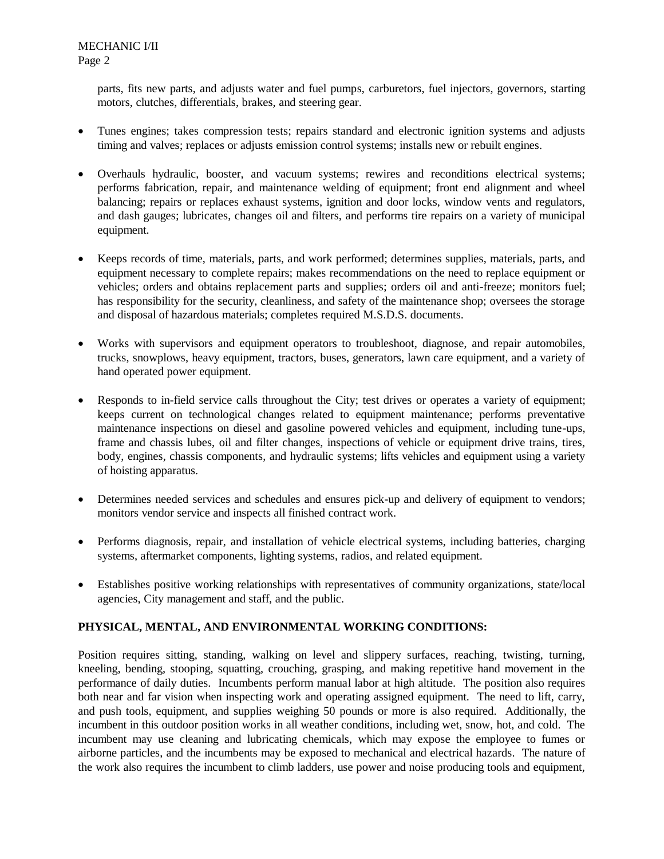parts, fits new parts, and adjusts water and fuel pumps, carburetors, fuel injectors, governors, starting motors, clutches, differentials, brakes, and steering gear.

- Tunes engines; takes compression tests; repairs standard and electronic ignition systems and adjusts timing and valves; replaces or adjusts emission control systems; installs new or rebuilt engines.
- Overhauls hydraulic, booster, and vacuum systems; rewires and reconditions electrical systems; performs fabrication, repair, and maintenance welding of equipment; front end alignment and wheel balancing; repairs or replaces exhaust systems, ignition and door locks, window vents and regulators, and dash gauges; lubricates, changes oil and filters, and performs tire repairs on a variety of municipal equipment.
- Keeps records of time, materials, parts, and work performed; determines supplies, materials, parts, and equipment necessary to complete repairs; makes recommendations on the need to replace equipment or vehicles; orders and obtains replacement parts and supplies; orders oil and anti-freeze; monitors fuel; has responsibility for the security, cleanliness, and safety of the maintenance shop; oversees the storage and disposal of hazardous materials; completes required M.S.D.S. documents.
- Works with supervisors and equipment operators to troubleshoot, diagnose, and repair automobiles, trucks, snowplows, heavy equipment, tractors, buses, generators, lawn care equipment, and a variety of hand operated power equipment.
- Responds to in-field service calls throughout the City; test drives or operates a variety of equipment; keeps current on technological changes related to equipment maintenance; performs preventative maintenance inspections on diesel and gasoline powered vehicles and equipment, including tune-ups, frame and chassis lubes, oil and filter changes, inspections of vehicle or equipment drive trains, tires, body, engines, chassis components, and hydraulic systems; lifts vehicles and equipment using a variety of hoisting apparatus.
- Determines needed services and schedules and ensures pick-up and delivery of equipment to vendors; monitors vendor service and inspects all finished contract work.
- Performs diagnosis, repair, and installation of vehicle electrical systems, including batteries, charging systems, aftermarket components, lighting systems, radios, and related equipment.
- Establishes positive working relationships with representatives of community organizations, state/local agencies, City management and staff, and the public.

# **PHYSICAL, MENTAL, AND ENVIRONMENTAL WORKING CONDITIONS:**

Position requires sitting, standing, walking on level and slippery surfaces, reaching, twisting, turning, kneeling, bending, stooping, squatting, crouching, grasping, and making repetitive hand movement in the performance of daily duties. Incumbents perform manual labor at high altitude. The position also requires both near and far vision when inspecting work and operating assigned equipment. The need to lift, carry, and push tools, equipment, and supplies weighing 50 pounds or more is also required. Additionally, the incumbent in this outdoor position works in all weather conditions, including wet, snow, hot, and cold. The incumbent may use cleaning and lubricating chemicals, which may expose the employee to fumes or airborne particles, and the incumbents may be exposed to mechanical and electrical hazards. The nature of the work also requires the incumbent to climb ladders, use power and noise producing tools and equipment,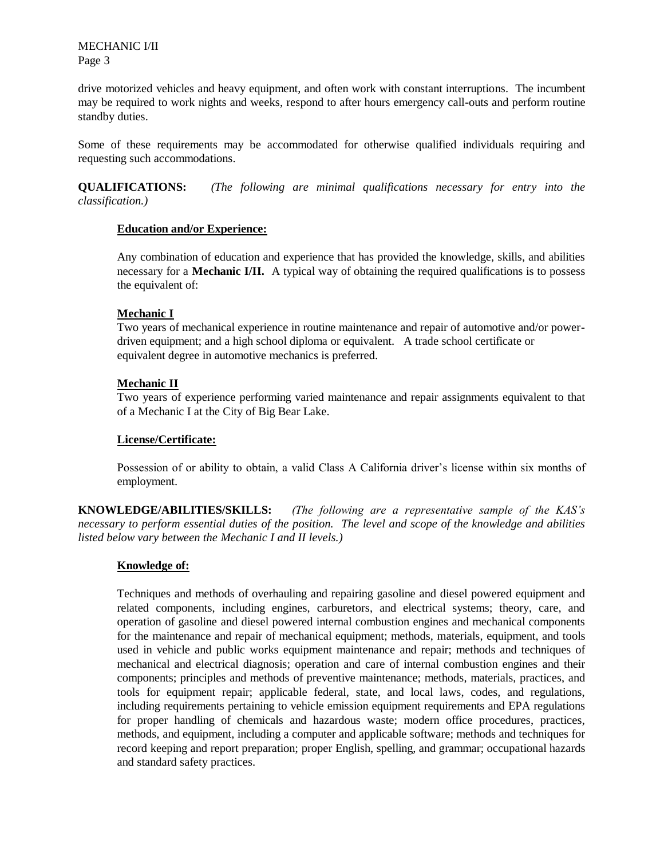MECHANIC I/II Page 3

drive motorized vehicles and heavy equipment, and often work with constant interruptions. The incumbent may be required to work nights and weeks, respond to after hours emergency call-outs and perform routine standby duties.

Some of these requirements may be accommodated for otherwise qualified individuals requiring and requesting such accommodations.

**QUALIFICATIONS:** *(The following are minimal qualifications necessary for entry into the classification.)*

## **Education and/or Experience:**

Any combination of education and experience that has provided the knowledge, skills, and abilities necessary for a **Mechanic I/II.** A typical way of obtaining the required qualifications is to possess the equivalent of:

## **Mechanic I**

Two years of mechanical experience in routine maintenance and repair of automotive and/or powerdriven equipment; and a high school diploma or equivalent. A trade school certificate or equivalent degree in automotive mechanics is preferred.

## **Mechanic II**

Two years of experience performing varied maintenance and repair assignments equivalent to that of a Mechanic I at the City of Big Bear Lake.

## **License/Certificate:**

Possession of or ability to obtain, a valid Class A California driver's license within six months of employment.

**KNOWLEDGE/ABILITIES/SKILLS:** *(The following are a representative sample of the KAS's necessary to perform essential duties of the position. The level and scope of the knowledge and abilities listed below vary between the Mechanic I and II levels.)*

#### **Knowledge of:**

Techniques and methods of overhauling and repairing gasoline and diesel powered equipment and related components, including engines, carburetors, and electrical systems; theory, care, and operation of gasoline and diesel powered internal combustion engines and mechanical components for the maintenance and repair of mechanical equipment; methods, materials, equipment, and tools used in vehicle and public works equipment maintenance and repair; methods and techniques of mechanical and electrical diagnosis; operation and care of internal combustion engines and their components; principles and methods of preventive maintenance; methods, materials, practices, and tools for equipment repair; applicable federal, state, and local laws, codes, and regulations, including requirements pertaining to vehicle emission equipment requirements and EPA regulations for proper handling of chemicals and hazardous waste; modern office procedures, practices, methods, and equipment, including a computer and applicable software; methods and techniques for record keeping and report preparation; proper English, spelling, and grammar; occupational hazards and standard safety practices.